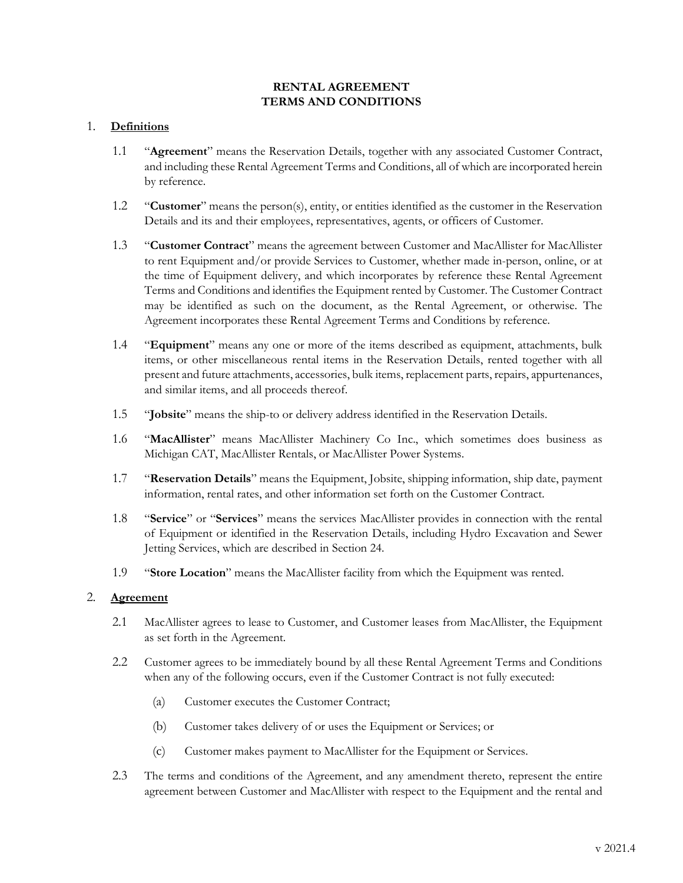## **RENTAL AGREEMENT TERMS AND CONDITIONS**

## 1. **Definitions**

- 1.1 "**Agreement**" means the Reservation Details, together with any associated Customer Contract, and including these Rental Agreement Terms and Conditions, all of which are incorporated herein by reference.
- 1.2 "**Customer**" means the person(s), entity, or entities identified as the customer in the Reservation Details and its and their employees, representatives, agents, or officers of Customer.
- 1.3 "**Customer Contract**" means the agreement between Customer and MacAllister for MacAllister to rent Equipment and/or provide Services to Customer, whether made in-person, online, or at the time of Equipment delivery, and which incorporates by reference these Rental Agreement Terms and Conditions and identifies the Equipment rented by Customer. The Customer Contract may be identified as such on the document, as the Rental Agreement, or otherwise. The Agreement incorporates these Rental Agreement Terms and Conditions by reference.
- 1.4 "**Equipment**" means any one or more of the items described as equipment, attachments, bulk items, or other miscellaneous rental items in the Reservation Details, rented together with all present and future attachments, accessories, bulk items, replacement parts, repairs, appurtenances, and similar items, and all proceeds thereof.
- 1.5 "**Jobsite**" means the ship-to or delivery address identified in the Reservation Details.
- 1.6 "**MacAllister**" means MacAllister Machinery Co Inc., which sometimes does business as Michigan CAT, MacAllister Rentals, or MacAllister Power Systems.
- 1.7 "**Reservation Details**" means the Equipment, Jobsite, shipping information, ship date, payment information, rental rates, and other information set forth on the Customer Contract.
- 1.8 "**Service**" or "**Services**" means the services MacAllister provides in connection with the rental of Equipment or identified in the Reservation Details, including Hydro Excavation and Sewer Jetting Services, which are described in Section [24.](#page-13-0)
- 1.9 "**Store Location**" means the MacAllister facility from which the Equipment was rented.

### 2. **Agreement**

- 2.1 MacAllister agrees to lease to Customer, and Customer leases from MacAllister, the Equipment as set forth in the Agreement.
- 2.2 Customer agrees to be immediately bound by all these Rental Agreement Terms and Conditions when any of the following occurs, even if the Customer Contract is not fully executed:
	- (a) Customer executes the Customer Contract;
	- (b) Customer takes delivery of or uses the Equipment or Services; or
	- (c) Customer makes payment to MacAllister for the Equipment or Services.
- 2.3 The terms and conditions of the Agreement, and any amendment thereto, represent the entire agreement between Customer and MacAllister with respect to the Equipment and the rental and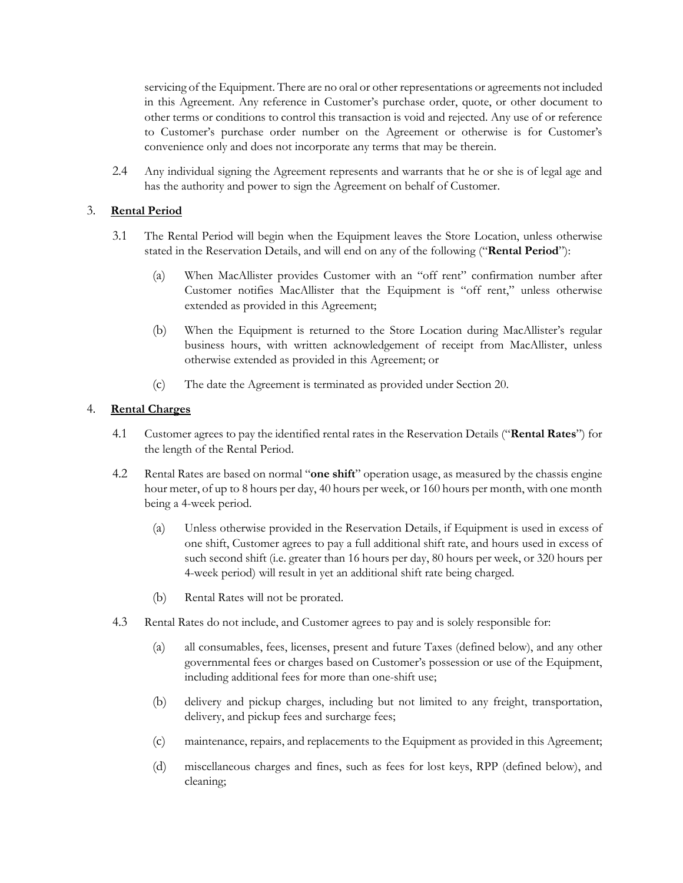servicing of the Equipment. There are no oral or other representations or agreements not included in this Agreement. Any reference in Customer's purchase order, quote, or other document to other terms or conditions to control this transaction is void and rejected. Any use of or reference to Customer's purchase order number on the Agreement or otherwise is for Customer's convenience only and does not incorporate any terms that may be therein.

2.4 Any individual signing the Agreement represents and warrants that he or she is of legal age and has the authority and power to sign the Agreement on behalf of Customer.

# 3. **Rental Period**

- 3.1 The Rental Period will begin when the Equipment leaves the Store Location, unless otherwise stated in the Reservation Details, and will end on any of the following ("**Rental Period**"):
	- (a) When MacAllister provides Customer with an "off rent" confirmation number after Customer notifies MacAllister that the Equipment is "off rent," unless otherwise extended as provided in this Agreement;
	- (b) When the Equipment is returned to the Store Location during MacAllister's regular business hours, with written acknowledgement of receipt from MacAllister, unless otherwise extended as provided in this Agreement; or
	- (c) The date the Agreement is terminated as provided under Section [20.](#page-9-0)

### 4. **Rental Charges**

- 4.1 Customer agrees to pay the identified rental rates in the Reservation Details ("**Rental Rates**") for the length of the Rental Period.
- 4.2 Rental Rates are based on normal "**one shift**" operation usage, as measured by the chassis engine hour meter, of up to 8 hours per day, 40 hours per week, or 160 hours per month, with one month being a 4-week period.
	- (a) Unless otherwise provided in the Reservation Details, if Equipment is used in excess of one shift, Customer agrees to pay a full additional shift rate, and hours used in excess of such second shift (i.e. greater than 16 hours per day, 80 hours per week, or 320 hours per 4-week period) will result in yet an additional shift rate being charged.
	- (b) Rental Rates will not be prorated.
- 4.3 Rental Rates do not include, and Customer agrees to pay and is solely responsible for:
	- (a) all consumables, fees, licenses, present and future Taxes (defined below), and any other governmental fees or charges based on Customer's possession or use of the Equipment, including additional fees for more than one-shift use;
	- (b) delivery and pickup charges, including but not limited to any freight, transportation, delivery, and pickup fees and surcharge fees;
	- (c) maintenance, repairs, and replacements to the Equipment as provided in this Agreement;
	- (d) miscellaneous charges and fines, such as fees for lost keys, RPP (defined below), and cleaning;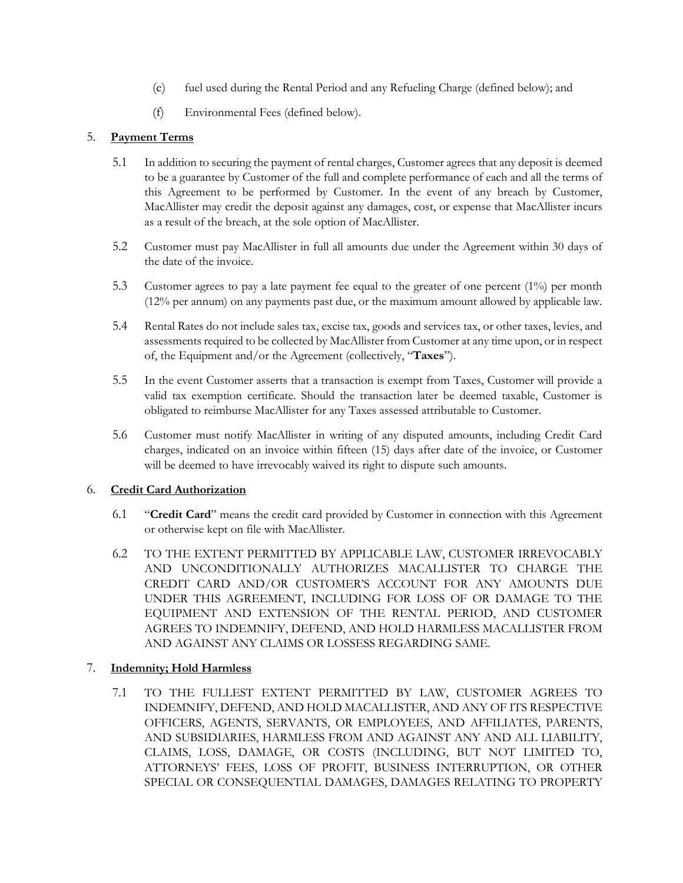- (e) fuel used during the Rental Period and any Refueling Charge (defined below); and
- (f) Environmental Fees (defined below).

# 5. **Payment Terms**

- 5.1 In addition to securing the payment of rental charges, Customer agrees that any deposit is deemed to be a guarantee by Customer of the full and complete performance of each and all the terms of this Agreement to be performed by Customer. In the event of any breach by Customer, MacAllister may credit the deposit against any damages, cost, or expense that MacAllister incurs as a result of the breach, at the sole option of MacAllister.
- 5.2 Customer must pay MacAllister in full all amounts due under the Agreement within 30 days of the date of the invoice.
- 5.3 Customer agrees to pay a late payment fee equal to the greater of one percent (1%) per month (12% per annum) on any payments past due, or the maximum amount allowed by applicable law.
- 5.4 Rental Rates do not include sales tax, excise tax, goods and services tax, or other taxes, levies, and assessments required to be collected by MacAllister from Customer at any time upon, or in respect of, the Equipment and/or the Agreement (collectively, "**Taxes**").
- 5.5 In the event Customer asserts that a transaction is exempt from Taxes, Customer will provide a valid tax exemption certificate. Should the transaction later be deemed taxable, Customer is obligated to reimburse MacAllister for any Taxes assessed attributable to Customer.
- 5.6 Customer must notify MacAllister in writing of any disputed amounts, including Credit Card charges, indicated on an invoice within fifteen (15) days after date of the invoice, or Customer will be deemed to have irrevocably waived its right to dispute such amounts.

# 6. **Credit Card Authorization**

- 6.1 "**Credit Card**" means the credit card provided by Customer in connection with this Agreement or otherwise kept on file with MacAllister.
- 6.2 TO THE EXTENT PERMITTED BY APPLICABLE LAW, CUSTOMER IRREVOCABLY AND UNCONDITIONALLY AUTHORIZES MACALLISTER TO CHARGE THE CREDIT CARD AND/OR CUSTOMER'S ACCOUNT FOR ANY AMOUNTS DUE UNDER THIS AGREEMENT, INCLUDING FOR LOSS OF OR DAMAGE TO THE EQUIPMENT AND EXTENSION OF THE RENTAL PERIOD, AND CUSTOMER AGREES TO INDEMNIFY, DEFEND, AND HOLD HARMLESS MACALLISTER FROM AND AGAINST ANY CLAIMS OR LOSSESS REGARDING SAME.

# <span id="page-2-1"></span><span id="page-2-0"></span>7. **Indemnity; Hold Harmless**

7.1 TO THE FULLEST EXTENT PERMITTED BY LAW, CUSTOMER AGREES TO INDEMNIFY, DEFEND, AND HOLD MACALLISTER, AND ANY OF ITS RESPECTIVE OFFICERS, AGENTS, SERVANTS, OR EMPLOYEES, AND AFFILIATES, PARENTS, AND SUBSIDIARIES, HARMLESS FROM AND AGAINST ANY AND ALL LIABILITY, CLAIMS, LOSS, DAMAGE, OR COSTS (INCLUDING, BUT NOT LIMITED TO, ATTORNEYS' FEES, LOSS OF PROFIT, BUSINESS INTERRUPTION, OR OTHER SPECIAL OR CONSEQUENTIAL DAMAGES, DAMAGES RELATING TO PROPERTY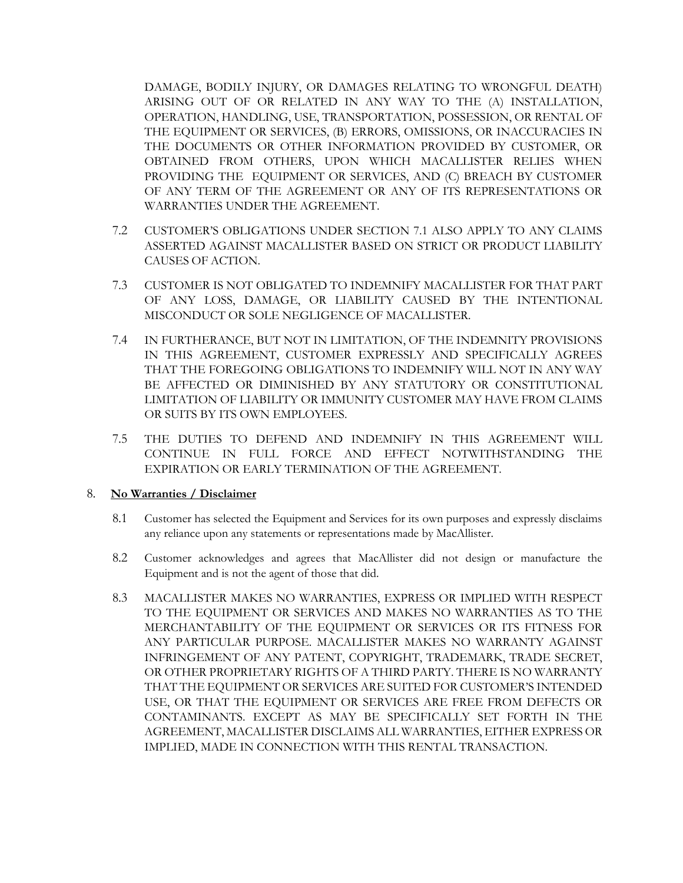DAMAGE, BODILY INJURY, OR DAMAGES RELATING TO WRONGFUL DEATH) ARISING OUT OF OR RELATED IN ANY WAY TO THE (A) INSTALLATION, OPERATION, HANDLING, USE, TRANSPORTATION, POSSESSION, OR RENTAL OF THE EQUIPMENT OR SERVICES, (B) ERRORS, OMISSIONS, OR INACCURACIES IN THE DOCUMENTS OR OTHER INFORMATION PROVIDED BY CUSTOMER, OR OBTAINED FROM OTHERS, UPON WHICH MACALLISTER RELIES WHEN PROVIDING THE EQUIPMENT OR SERVICES, AND (C) BREACH BY CUSTOMER OF ANY TERM OF THE AGREEMENT OR ANY OF ITS REPRESENTATIONS OR WARRANTIES UNDER THE AGREEMENT.

- 7.2 CUSTOMER'S OBLIGATIONS UNDER SECTION [7.1](#page-2-0) ALSO APPLY TO ANY CLAIMS ASSERTED AGAINST MACALLISTER BASED ON STRICT OR PRODUCT LIABILITY CAUSES OF ACTION.
- 7.3 CUSTOMER IS NOT OBLIGATED TO INDEMNIFY MACALLISTER FOR THAT PART OF ANY LOSS, DAMAGE, OR LIABILITY CAUSED BY THE INTENTIONAL MISCONDUCT OR SOLE NEGLIGENCE OF MACALLISTER.
- 7.4 IN FURTHERANCE, BUT NOT IN LIMITATION, OF THE INDEMNITY PROVISIONS IN THIS AGREEMENT, CUSTOMER EXPRESSLY AND SPECIFICALLY AGREES THAT THE FOREGOING OBLIGATIONS TO INDEMNIFY WILL NOT IN ANY WAY BE AFFECTED OR DIMINISHED BY ANY STATUTORY OR CONSTITUTIONAL LIMITATION OF LIABILITY OR IMMUNITY CUSTOMER MAY HAVE FROM CLAIMS OR SUITS BY ITS OWN EMPLOYEES.
- 7.5 THE DUTIES TO DEFEND AND INDEMNIFY IN THIS AGREEMENT WILL CONTINUE IN FULL FORCE AND EFFECT NOTWITHSTANDING THE EXPIRATION OR EARLY TERMINATION OF THE AGREEMENT.

### 8. **No Warranties / Disclaimer**

- 8.1 Customer has selected the Equipment and Services for its own purposes and expressly disclaims any reliance upon any statements or representations made by MacAllister.
- 8.2 Customer acknowledges and agrees that MacAllister did not design or manufacture the Equipment and is not the agent of those that did.
- 8.3 MACALLISTER MAKES NO WARRANTIES, EXPRESS OR IMPLIED WITH RESPECT TO THE EQUIPMENT OR SERVICES AND MAKES NO WARRANTIES AS TO THE MERCHANTABILITY OF THE EQUIPMENT OR SERVICES OR ITS FITNESS FOR ANY PARTICULAR PURPOSE. MACALLISTER MAKES NO WARRANTY AGAINST INFRINGEMENT OF ANY PATENT, COPYRIGHT, TRADEMARK, TRADE SECRET, OR OTHER PROPRIETARY RIGHTS OF A THIRD PARTY. THERE IS NO WARRANTY THAT THE EQUIPMENT OR SERVICES ARE SUITED FOR CUSTOMER'S INTENDED USE, OR THAT THE EQUIPMENT OR SERVICES ARE FREE FROM DEFECTS OR CONTAMINANTS. EXCEPT AS MAY BE SPECIFICALLY SET FORTH IN THE AGREEMENT, MACALLISTER DISCLAIMS ALL WARRANTIES, EITHER EXPRESS OR IMPLIED, MADE IN CONNECTION WITH THIS RENTAL TRANSACTION.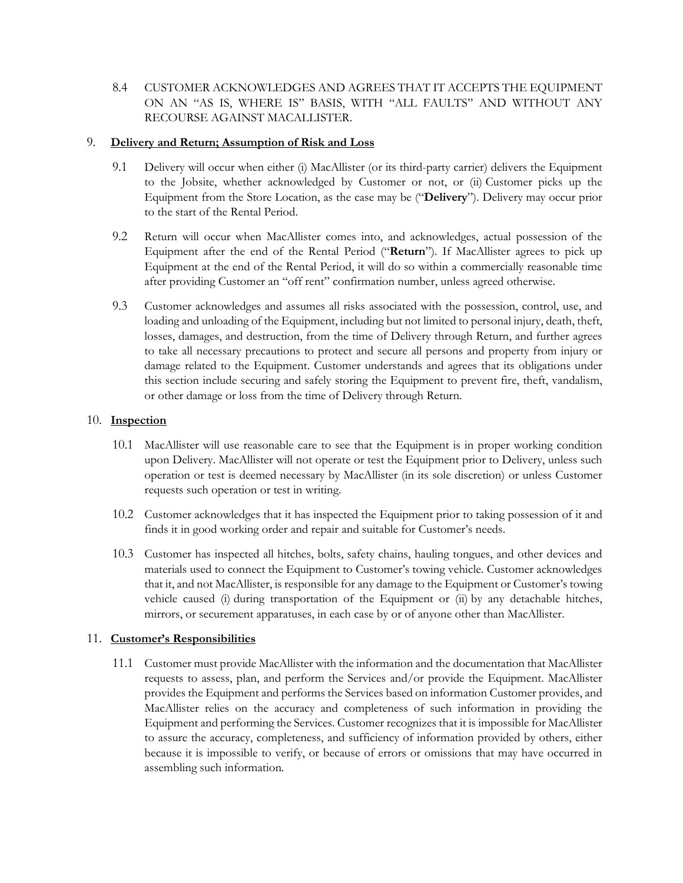8.4 CUSTOMER ACKNOWLEDGES AND AGREES THAT IT ACCEPTS THE EQUIPMENT ON AN "AS IS, WHERE IS" BASIS, WITH "ALL FAULTS" AND WITHOUT ANY RECOURSE AGAINST MACALLISTER.

### 9. **Delivery and Return; Assumption of Risk and Loss**

- 9.1 Delivery will occur when either (i) MacAllister (or its third-party carrier) delivers the Equipment to the Jobsite, whether acknowledged by Customer or not, or (ii) Customer picks up the Equipment from the Store Location, as the case may be ("**Delivery**"). Delivery may occur prior to the start of the Rental Period.
- 9.2 Return will occur when MacAllister comes into, and acknowledges, actual possession of the Equipment after the end of the Rental Period ("**Return**"). If MacAllister agrees to pick up Equipment at the end of the Rental Period, it will do so within a commercially reasonable time after providing Customer an "off rent" confirmation number, unless agreed otherwise.
- 9.3 Customer acknowledges and assumes all risks associated with the possession, control, use, and loading and unloading of the Equipment, including but not limited to personal injury, death, theft, losses, damages, and destruction, from the time of Delivery through Return, and further agrees to take all necessary precautions to protect and secure all persons and property from injury or damage related to the Equipment. Customer understands and agrees that its obligations under this section include securing and safely storing the Equipment to prevent fire, theft, vandalism, or other damage or loss from the time of Delivery through Return.

## 10. **Inspection**

- 10.1 MacAllister will use reasonable care to see that the Equipment is in proper working condition upon Delivery. MacAllister will not operate or test the Equipment prior to Delivery, unless such operation or test is deemed necessary by MacAllister (in its sole discretion) or unless Customer requests such operation or test in writing.
- 10.2 Customer acknowledges that it has inspected the Equipment prior to taking possession of it and finds it in good working order and repair and suitable for Customer's needs.
- 10.3 Customer has inspected all hitches, bolts, safety chains, hauling tongues, and other devices and materials used to connect the Equipment to Customer's towing vehicle. Customer acknowledges that it, and not MacAllister, is responsible for any damage to the Equipment or Customer's towing vehicle caused (i) during transportation of the Equipment or (ii) by any detachable hitches, mirrors, or securement apparatuses, in each case by or of anyone other than MacAllister.

# 11. **Customer's Responsibilities**

11.1 Customer must provide MacAllister with the information and the documentation that MacAllister requests to assess, plan, and perform the Services and/or provide the Equipment. MacAllister provides the Equipment and performs the Services based on information Customer provides, and MacAllister relies on the accuracy and completeness of such information in providing the Equipment and performing the Services. Customer recognizes that it is impossible for MacAllister to assure the accuracy, completeness, and sufficiency of information provided by others, either because it is impossible to verify, or because of errors or omissions that may have occurred in assembling such information.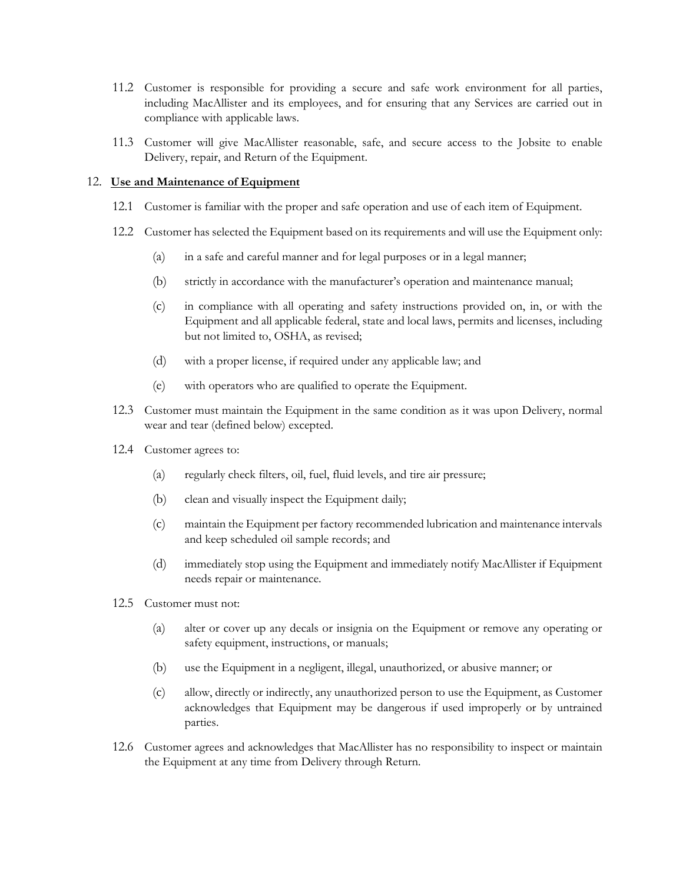- 11.2 Customer is responsible for providing a secure and safe work environment for all parties, including MacAllister and its employees, and for ensuring that any Services are carried out in compliance with applicable laws.
- 11.3 Customer will give MacAllister reasonable, safe, and secure access to the Jobsite to enable Delivery, repair, and Return of the Equipment.

#### 12. **Use and Maintenance of Equipment**

- 12.1 Customer is familiar with the proper and safe operation and use of each item of Equipment.
- 12.2 Customer has selected the Equipment based on its requirements and will use the Equipment only:
	- (a) in a safe and careful manner and for legal purposes or in a legal manner;
	- (b) strictly in accordance with the manufacturer's operation and maintenance manual;
	- (c) in compliance with all operating and safety instructions provided on, in, or with the Equipment and all applicable federal, state and local laws, permits and licenses, including but not limited to, OSHA, as revised;
	- (d) with a proper license, if required under any applicable law; and
	- (e) with operators who are qualified to operate the Equipment.
- 12.3 Customer must maintain the Equipment in the same condition as it was upon Delivery, normal wear and tear (defined below) excepted.
- 12.4 Customer agrees to:
	- (a) regularly check filters, oil, fuel, fluid levels, and tire air pressure;
	- (b) clean and visually inspect the Equipment daily;
	- (c) maintain the Equipment per factory recommended lubrication and maintenance intervals and keep scheduled oil sample records; and
	- (d) immediately stop using the Equipment and immediately notify MacAllister if Equipment needs repair or maintenance.
- 12.5 Customer must not:
	- (a) alter or cover up any decals or insignia on the Equipment or remove any operating or safety equipment, instructions, or manuals;
	- (b) use the Equipment in a negligent, illegal, unauthorized, or abusive manner; or
	- (c) allow, directly or indirectly, any unauthorized person to use the Equipment, as Customer acknowledges that Equipment may be dangerous if used improperly or by untrained parties.
- 12.6 Customer agrees and acknowledges that MacAllister has no responsibility to inspect or maintain the Equipment at any time from Delivery through Return.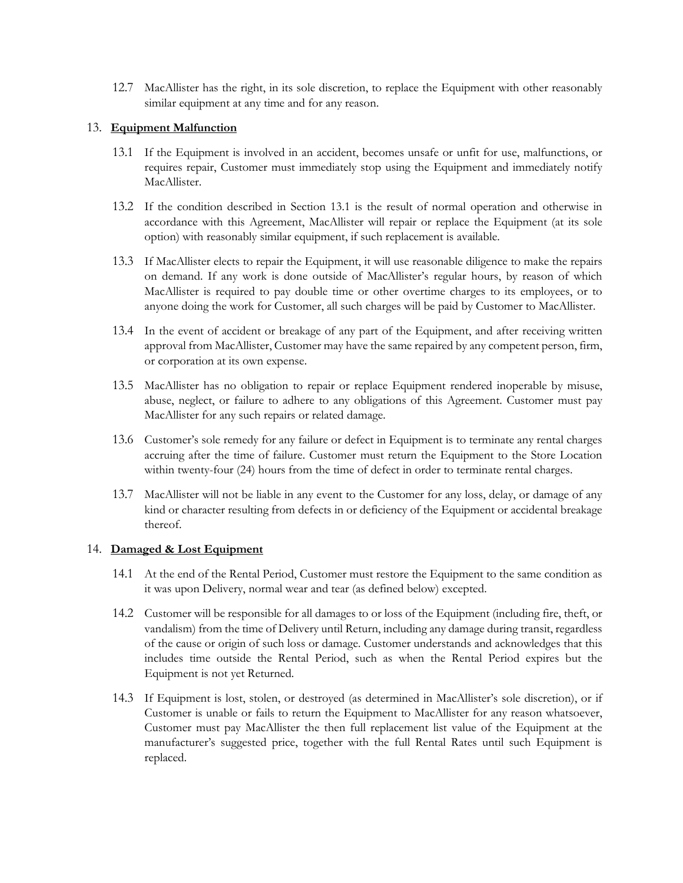12.7 MacAllister has the right, in its sole discretion, to replace the Equipment with other reasonably similar equipment at any time and for any reason.

### <span id="page-6-0"></span>13. **Equipment Malfunction**

- 13.1 If the Equipment is involved in an accident, becomes unsafe or unfit for use, malfunctions, or requires repair, Customer must immediately stop using the Equipment and immediately notify MacAllister.
- 13.2 If the condition described in Section [13.1](#page-6-0) is the result of normal operation and otherwise in accordance with this Agreement, MacAllister will repair or replace the Equipment (at its sole option) with reasonably similar equipment, if such replacement is available.
- 13.3 If MacAllister elects to repair the Equipment, it will use reasonable diligence to make the repairs on demand. If any work is done outside of MacAllister's regular hours, by reason of which MacAllister is required to pay double time or other overtime charges to its employees, or to anyone doing the work for Customer, all such charges will be paid by Customer to MacAllister.
- 13.4 In the event of accident or breakage of any part of the Equipment, and after receiving written approval from MacAllister, Customer may have the same repaired by any competent person, firm, or corporation at its own expense.
- 13.5 MacAllister has no obligation to repair or replace Equipment rendered inoperable by misuse, abuse, neglect, or failure to adhere to any obligations of this Agreement. Customer must pay MacAllister for any such repairs or related damage.
- 13.6 Customer's sole remedy for any failure or defect in Equipment is to terminate any rental charges accruing after the time of failure. Customer must return the Equipment to the Store Location within twenty-four (24) hours from the time of defect in order to terminate rental charges.
- 13.7 MacAllister will not be liable in any event to the Customer for any loss, delay, or damage of any kind or character resulting from defects in or deficiency of the Equipment or accidental breakage thereof.

### <span id="page-6-1"></span>14. **Damaged & Lost Equipment**

- 14.1 At the end of the Rental Period, Customer must restore the Equipment to the same condition as it was upon Delivery, normal wear and tear (as defined below) excepted.
- 14.2 Customer will be responsible for all damages to or loss of the Equipment (including fire, theft, or vandalism) from the time of Delivery until Return, including any damage during transit, regardless of the cause or origin of such loss or damage. Customer understands and acknowledges that this includes time outside the Rental Period, such as when the Rental Period expires but the Equipment is not yet Returned.
- 14.3 If Equipment is lost, stolen, or destroyed (as determined in MacAllister's sole discretion), or if Customer is unable or fails to return the Equipment to MacAllister for any reason whatsoever, Customer must pay MacAllister the then full replacement list value of the Equipment at the manufacturer's suggested price, together with the full Rental Rates until such Equipment is replaced.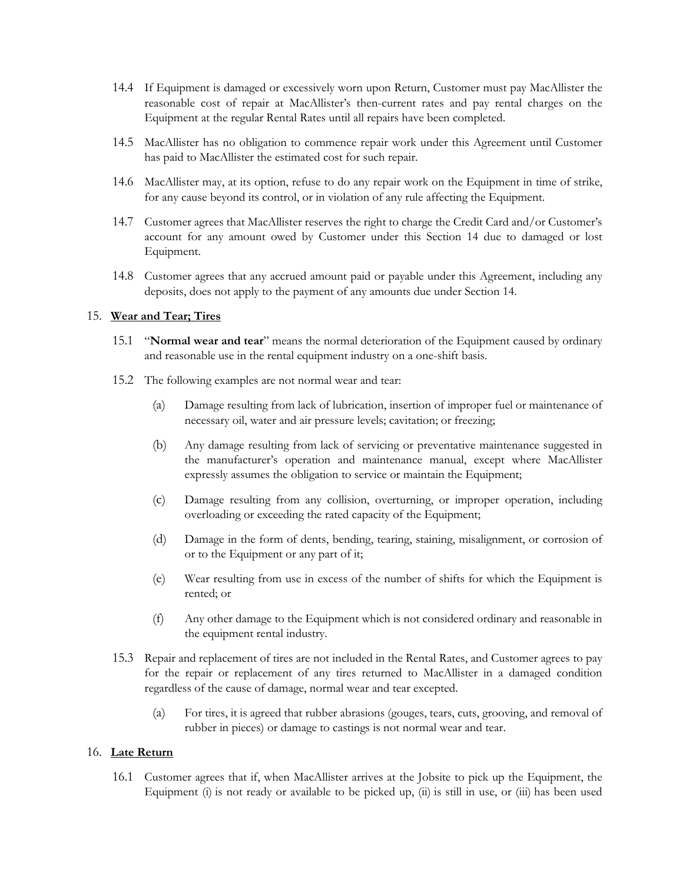- 14.4 If Equipment is damaged or excessively worn upon Return, Customer must pay MacAllister the reasonable cost of repair at MacAllister's then-current rates and pay rental charges on the Equipment at the regular Rental Rates until all repairs have been completed.
- 14.5 MacAllister has no obligation to commence repair work under this Agreement until Customer has paid to MacAllister the estimated cost for such repair.
- 14.6 MacAllister may, at its option, refuse to do any repair work on the Equipment in time of strike, for any cause beyond its control, or in violation of any rule affecting the Equipment.
- 14.7 Customer agrees that MacAllister reserves the right to charge the Credit Card and/or Customer's account for any amount owed by Customer under this Section [14](#page-6-1) due to damaged or lost Equipment.
- 14.8 Customer agrees that any accrued amount paid or payable under this Agreement, including any deposits, does not apply to the payment of any amounts due under Sectio[n 14.](#page-6-1)

### 15. **Wear and Tear; Tires**

- 15.1 "**Normal wear and tear**" means the normal deterioration of the Equipment caused by ordinary and reasonable use in the rental equipment industry on a one-shift basis.
- 15.2 The following examples are not normal wear and tear:
	- (a) Damage resulting from lack of lubrication, insertion of improper fuel or maintenance of necessary oil, water and air pressure levels; cavitation; or freezing;
	- (b) Any damage resulting from lack of servicing or preventative maintenance suggested in the manufacturer's operation and maintenance manual, except where MacAllister expressly assumes the obligation to service or maintain the Equipment;
	- (c) Damage resulting from any collision, overturning, or improper operation, including overloading or exceeding the rated capacity of the Equipment;
	- (d) Damage in the form of dents, bending, tearing, staining, misalignment, or corrosion of or to the Equipment or any part of it;
	- (e) Wear resulting from use in excess of the number of shifts for which the Equipment is rented; or
	- (f) Any other damage to the Equipment which is not considered ordinary and reasonable in the equipment rental industry.
- 15.3 Repair and replacement of tires are not included in the Rental Rates, and Customer agrees to pay for the repair or replacement of any tires returned to MacAllister in a damaged condition regardless of the cause of damage, normal wear and tear excepted.
	- (a) For tires, it is agreed that rubber abrasions (gouges, tears, cuts, grooving, and removal of rubber in pieces) or damage to castings is not normal wear and tear.

#### 16. **Late Return**

16.1 Customer agrees that if, when MacAllister arrives at the Jobsite to pick up the Equipment, the Equipment (i) is not ready or available to be picked up, (ii) is still in use, or (iii) has been used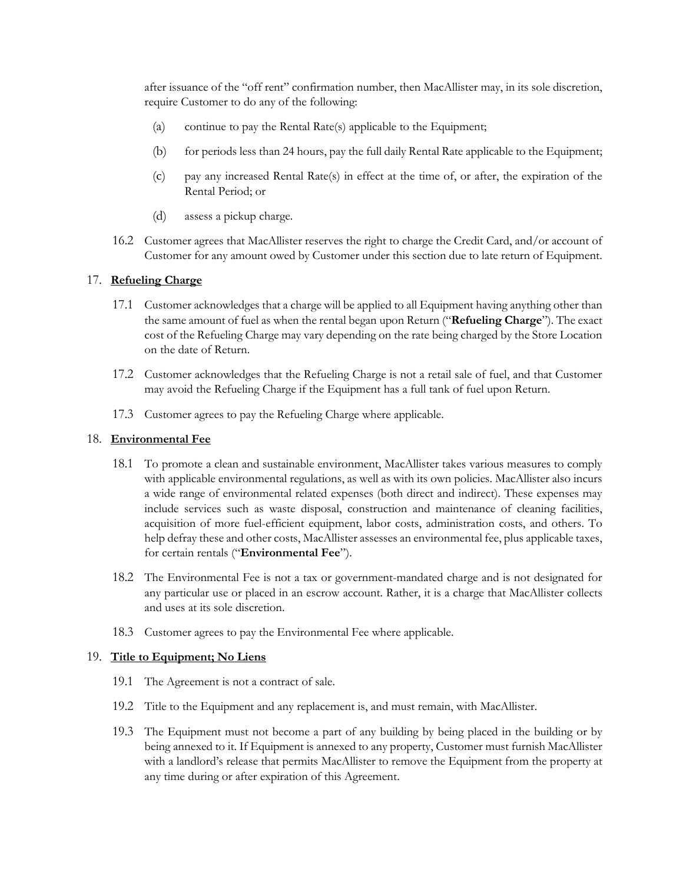after issuance of the "off rent" confirmation number, then MacAllister may, in its sole discretion, require Customer to do any of the following:

- (a) continue to pay the Rental Rate(s) applicable to the Equipment;
- (b) for periods less than 24 hours, pay the full daily Rental Rate applicable to the Equipment;
- (c) pay any increased Rental Rate(s) in effect at the time of, or after, the expiration of the Rental Period; or
- (d) assess a pickup charge.
- 16.2 Customer agrees that MacAllister reserves the right to charge the Credit Card, and/or account of Customer for any amount owed by Customer under this section due to late return of Equipment.

### 17. **Refueling Charge**

- 17.1 Customer acknowledges that a charge will be applied to all Equipment having anything other than the same amount of fuel as when the rental began upon Return ("**Refueling Charge**"). The exact cost of the Refueling Charge may vary depending on the rate being charged by the Store Location on the date of Return.
- 17.2 Customer acknowledges that the Refueling Charge is not a retail sale of fuel, and that Customer may avoid the Refueling Charge if the Equipment has a full tank of fuel upon Return.
- 17.3 Customer agrees to pay the Refueling Charge where applicable.

#### 18. **Environmental Fee**

- 18.1 To promote a clean and sustainable environment, MacAllister takes various measures to comply with applicable environmental regulations, as well as with its own policies. MacAllister also incurs a wide range of environmental related expenses (both direct and indirect). These expenses may include services such as waste disposal, construction and maintenance of cleaning facilities, acquisition of more fuel-efficient equipment, labor costs, administration costs, and others. To help defray these and other costs, MacAllister assesses an environmental fee, plus applicable taxes, for certain rentals ("**Environmental Fee**").
- 18.2 The Environmental Fee is not a tax or government-mandated charge and is not designated for any particular use or placed in an escrow account. Rather, it is a charge that MacAllister collects and uses at its sole discretion.
- 18.3 Customer agrees to pay the Environmental Fee where applicable.

### 19. **Title to Equipment; No Liens**

- 19.1 The Agreement is not a contract of sale.
- 19.2 Title to the Equipment and any replacement is, and must remain, with MacAllister.
- 19.3 The Equipment must not become a part of any building by being placed in the building or by being annexed to it. If Equipment is annexed to any property, Customer must furnish MacAllister with a landlord's release that permits MacAllister to remove the Equipment from the property at any time during or after expiration of this Agreement.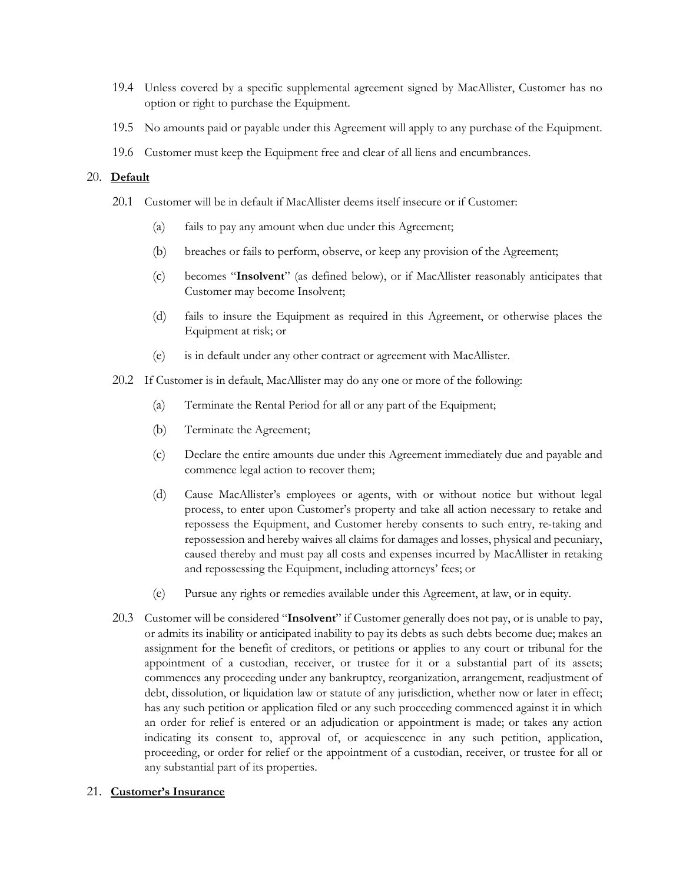- 19.4 Unless covered by a specific supplemental agreement signed by MacAllister, Customer has no option or right to purchase the Equipment.
- 19.5 No amounts paid or payable under this Agreement will apply to any purchase of the Equipment.
- 19.6 Customer must keep the Equipment free and clear of all liens and encumbrances.

#### <span id="page-9-0"></span>20. **Default**

- 20.1 Customer will be in default if MacAllister deems itself insecure or if Customer:
	- (a) fails to pay any amount when due under this Agreement;
	- (b) breaches or fails to perform, observe, or keep any provision of the Agreement;
	- (c) becomes "**Insolvent**" (as defined below), or if MacAllister reasonably anticipates that Customer may become Insolvent;
	- (d) fails to insure the Equipment as required in this Agreement, or otherwise places the Equipment at risk; or
	- (e) is in default under any other contract or agreement with MacAllister.
- 20.2 If Customer is in default, MacAllister may do any one or more of the following:
	- (a) Terminate the Rental Period for all or any part of the Equipment;
	- (b) Terminate the Agreement;
	- (c) Declare the entire amounts due under this Agreement immediately due and payable and commence legal action to recover them;
	- (d) Cause MacAllister's employees or agents, with or without notice but without legal process, to enter upon Customer's property and take all action necessary to retake and repossess the Equipment, and Customer hereby consents to such entry, re-taking and repossession and hereby waives all claims for damages and losses, physical and pecuniary, caused thereby and must pay all costs and expenses incurred by MacAllister in retaking and repossessing the Equipment, including attorneys' fees; or
	- (e) Pursue any rights or remedies available under this Agreement, at law, or in equity.
- 20.3 Customer will be considered "**Insolvent**" if Customer generally does not pay, or is unable to pay, or admits its inability or anticipated inability to pay its debts as such debts become due; makes an assignment for the benefit of creditors, or petitions or applies to any court or tribunal for the appointment of a custodian, receiver, or trustee for it or a substantial part of its assets; commences any proceeding under any bankruptcy, reorganization, arrangement, readjustment of debt, dissolution, or liquidation law or statute of any jurisdiction, whether now or later in effect; has any such petition or application filed or any such proceeding commenced against it in which an order for relief is entered or an adjudication or appointment is made; or takes any action indicating its consent to, approval of, or acquiescence in any such petition, application, proceeding, or order for relief or the appointment of a custodian, receiver, or trustee for all or any substantial part of its properties.

#### <span id="page-9-1"></span>21. **Customer's Insurance**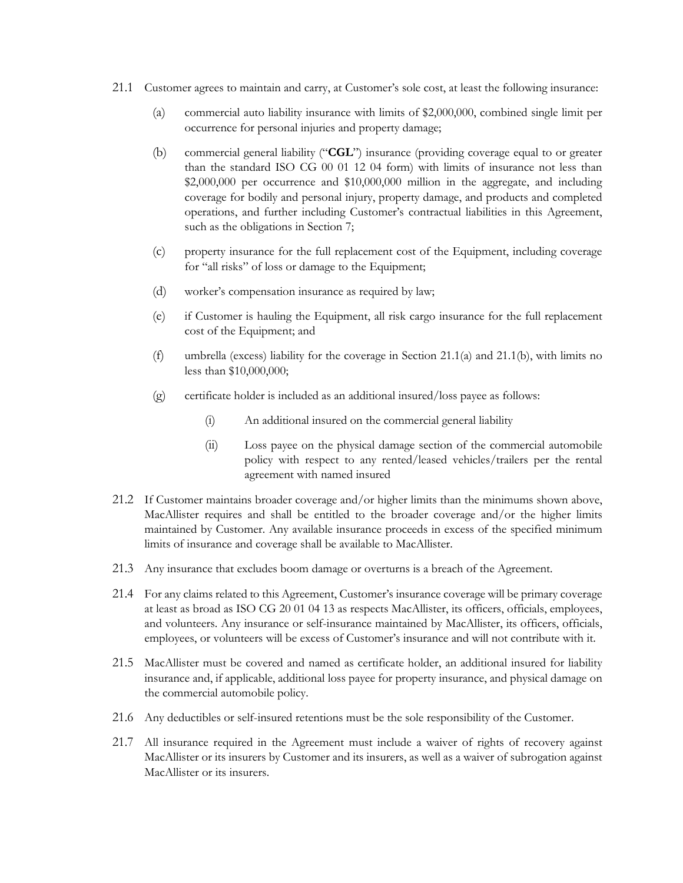- <span id="page-10-1"></span><span id="page-10-0"></span>21.1 Customer agrees to maintain and carry, at Customer's sole cost, at least the following insurance:
	- (a) commercial auto liability insurance with limits of \$2,000,000, combined single limit per occurrence for personal injuries and property damage;
	- (b) commercial general liability ("**CGL**") insurance (providing coverage equal to or greater than the standard ISO CG 00 01 12 04 form) with limits of insurance not less than \$2,000,000 per occurrence and \$10,000,000 million in the aggregate, and including coverage for bodily and personal injury, property damage, and products and completed operations, and further including Customer's contractual liabilities in this Agreement, such as the obligations in Sectio[n 7;](#page-2-1)
	- (c) property insurance for the full replacement cost of the Equipment, including coverage for "all risks" of loss or damage to the Equipment;
	- (d) worker's compensation insurance as required by law;
	- (e) if Customer is hauling the Equipment, all risk cargo insurance for the full replacement cost of the Equipment; and
	- (f) umbrella (excess) liability for the coverage in Section [21.1\(a\)](#page-10-0) and [21.1\(b\),](#page-10-1) with limits no less than \$10,000,000;
	- (g) certificate holder is included as an additional insured/loss payee as follows:
		- (i) An additional insured on the commercial general liability
		- (ii) Loss payee on the physical damage section of the commercial automobile policy with respect to any rented/leased vehicles/trailers per the rental agreement with named insured
- 21.2 If Customer maintains broader coverage and/or higher limits than the minimums shown above, MacAllister requires and shall be entitled to the broader coverage and/or the higher limits maintained by Customer. Any available insurance proceeds in excess of the specified minimum limits of insurance and coverage shall be available to MacAllister.
- 21.3 Any insurance that excludes boom damage or overturns is a breach of the Agreement.
- 21.4 For any claims related to this Agreement, Customer's insurance coverage will be primary coverage at least as broad as ISO CG 20 01 04 13 as respects MacAllister, its officers, officials, employees, and volunteers. Any insurance or self-insurance maintained by MacAllister, its officers, officials, employees, or volunteers will be excess of Customer's insurance and will not contribute with it.
- 21.5 MacAllister must be covered and named as certificate holder, an additional insured for liability insurance and, if applicable, additional loss payee for property insurance, and physical damage on the commercial automobile policy.
- 21.6 Any deductibles or self-insured retentions must be the sole responsibility of the Customer.
- 21.7 All insurance required in the Agreement must include a waiver of rights of recovery against MacAllister or its insurers by Customer and its insurers, as well as a waiver of subrogation against MacAllister or its insurers.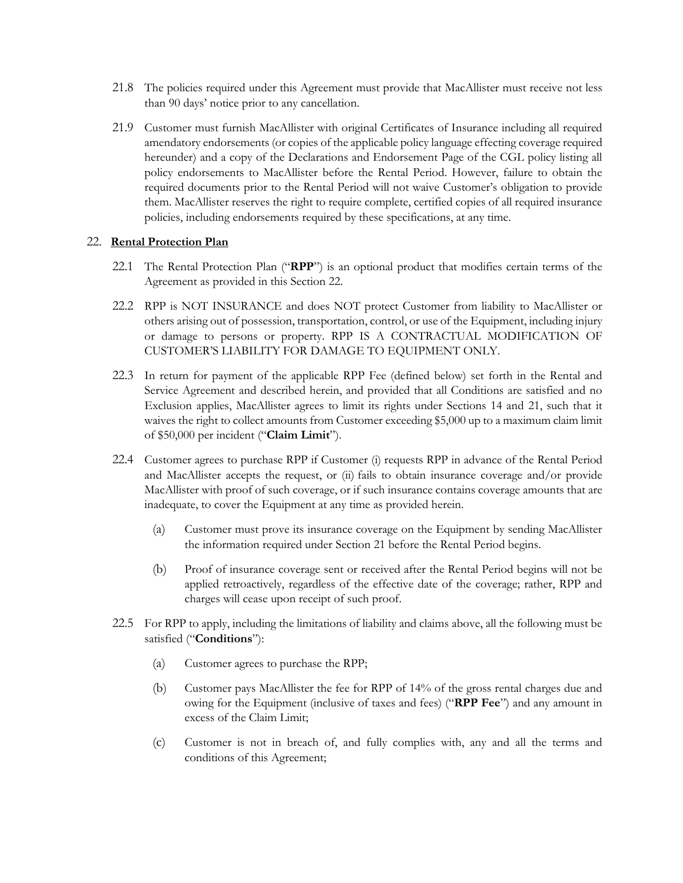- 21.8 The policies required under this Agreement must provide that MacAllister must receive not less than 90 days' notice prior to any cancellation.
- 21.9 Customer must furnish MacAllister with original Certificates of Insurance including all required amendatory endorsements (or copies of the applicable policy language effecting coverage required hereunder) and a copy of the Declarations and Endorsement Page of the CGL policy listing all policy endorsements to MacAllister before the Rental Period. However, failure to obtain the required documents prior to the Rental Period will not waive Customer's obligation to provide them. MacAllister reserves the right to require complete, certified copies of all required insurance policies, including endorsements required by these specifications, at any time.

### <span id="page-11-0"></span>22. **Rental Protection Plan**

- 22.1 The Rental Protection Plan ("**RPP**") is an optional product that modifies certain terms of the Agreement as provided in this Section [22.](#page-11-0)
- 22.2 RPP is NOT INSURANCE and does NOT protect Customer from liability to MacAllister or others arising out of possession, transportation, control, or use of the Equipment, including injury or damage to persons or property. RPP IS A CONTRACTUAL MODIFICATION OF CUSTOMER'S LIABILITY FOR DAMAGE TO EQUIPMENT ONLY.
- 22.3 In return for payment of the applicable RPP Fee (defined below) set forth in the Rental and Service Agreement and described herein, and provided that all Conditions are satisfied and no Exclusion applies, MacAllister agrees to limit its rights under Sections [14](#page-6-1) and [21,](#page-9-1) such that it waives the right to collect amounts from Customer exceeding \$5,000 up to a maximum claim limit of \$50,000 per incident ("**Claim Limit**").
- 22.4 Customer agrees to purchase RPP if Customer (i) requests RPP in advance of the Rental Period and MacAllister accepts the request, or (ii) fails to obtain insurance coverage and/or provide MacAllister with proof of such coverage, or if such insurance contains coverage amounts that are inadequate, to cover the Equipment at any time as provided herein.
	- (a) Customer must prove its insurance coverage on the Equipment by sending MacAllister the information required under Section [21](#page-9-1) before the Rental Period begins.
	- (b) Proof of insurance coverage sent or received after the Rental Period begins will not be applied retroactively, regardless of the effective date of the coverage; rather, RPP and charges will cease upon receipt of such proof.
- 22.5 For RPP to apply, including the limitations of liability and claims above, all the following must be satisfied ("**Conditions**"):
	- (a) Customer agrees to purchase the RPP;
	- (b) Customer pays MacAllister the fee for RPP of 14% of the gross rental charges due and owing for the Equipment (inclusive of taxes and fees) ("**RPP Fee**") and any amount in excess of the Claim Limit;
	- (c) Customer is not in breach of, and fully complies with, any and all the terms and conditions of this Agreement;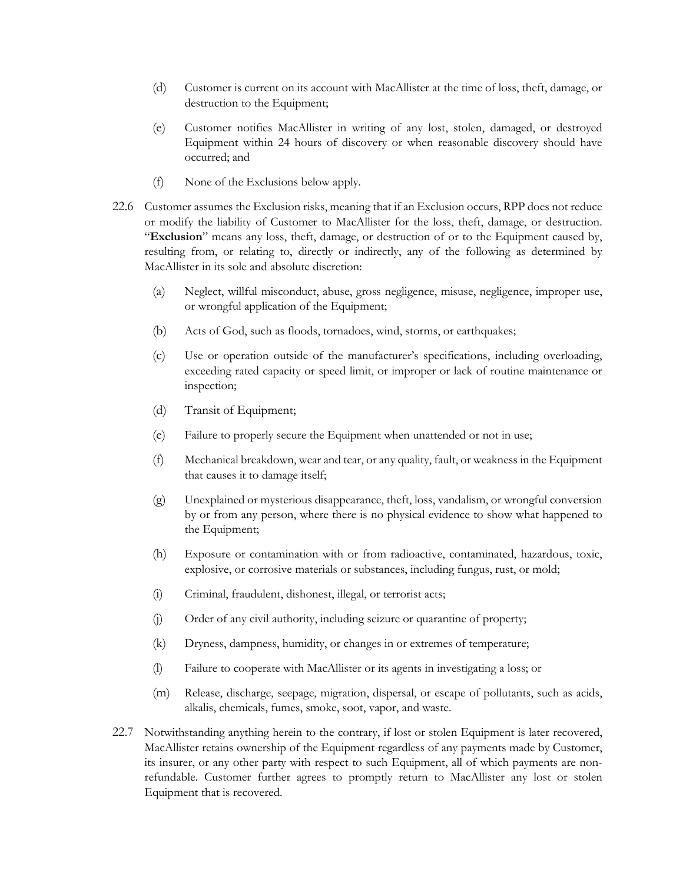- (d) Customer is current on its account with MacAllister at the time of loss, theft, damage, or destruction to the Equipment;
- (e) Customer notifies MacAllister in writing of any lost, stolen, damaged, or destroyed Equipment within 24 hours of discovery or when reasonable discovery should have occurred; and
- (f) None of the Exclusions below apply.
- 22.6 Customer assumes the Exclusion risks, meaning that if an Exclusion occurs, RPP does not reduce or modify the liability of Customer to MacAllister for the loss, theft, damage, or destruction. "**Exclusion**" means any loss, theft, damage, or destruction of or to the Equipment caused by, resulting from, or relating to, directly or indirectly, any of the following as determined by MacAllister in its sole and absolute discretion:
	- (a) Neglect, willful misconduct, abuse, gross negligence, misuse, negligence, improper use, or wrongful application of the Equipment;
	- (b) Acts of God, such as floods, tornadoes, wind, storms, or earthquakes;
	- (c) Use or operation outside of the manufacturer's specifications, including overloading, exceeding rated capacity or speed limit, or improper or lack of routine maintenance or inspection;
	- (d) Transit of Equipment;
	- (e) Failure to properly secure the Equipment when unattended or not in use;
	- (f) Mechanical breakdown, wear and tear, or any quality, fault, or weakness in the Equipment that causes it to damage itself;
	- (g) Unexplained or mysterious disappearance, theft, loss, vandalism, or wrongful conversion by or from any person, where there is no physical evidence to show what happened to the Equipment;
	- (h) Exposure or contamination with or from radioactive, contaminated, hazardous, toxic, explosive, or corrosive materials or substances, including fungus, rust, or mold;
	- (i) Criminal, fraudulent, dishonest, illegal, or terrorist acts;
	- (j) Order of any civil authority, including seizure or quarantine of property;
	- (k) Dryness, dampness, humidity, or changes in or extremes of temperature;
	- (l) Failure to cooperate with MacAllister or its agents in investigating a loss; or
	- (m) Release, discharge, seepage, migration, dispersal, or escape of pollutants, such as acids, alkalis, chemicals, fumes, smoke, soot, vapor, and waste.
- 22.7 Notwithstanding anything herein to the contrary, if lost or stolen Equipment is later recovered, MacAllister retains ownership of the Equipment regardless of any payments made by Customer, its insurer, or any other party with respect to such Equipment, all of which payments are nonrefundable. Customer further agrees to promptly return to MacAllister any lost or stolen Equipment that is recovered.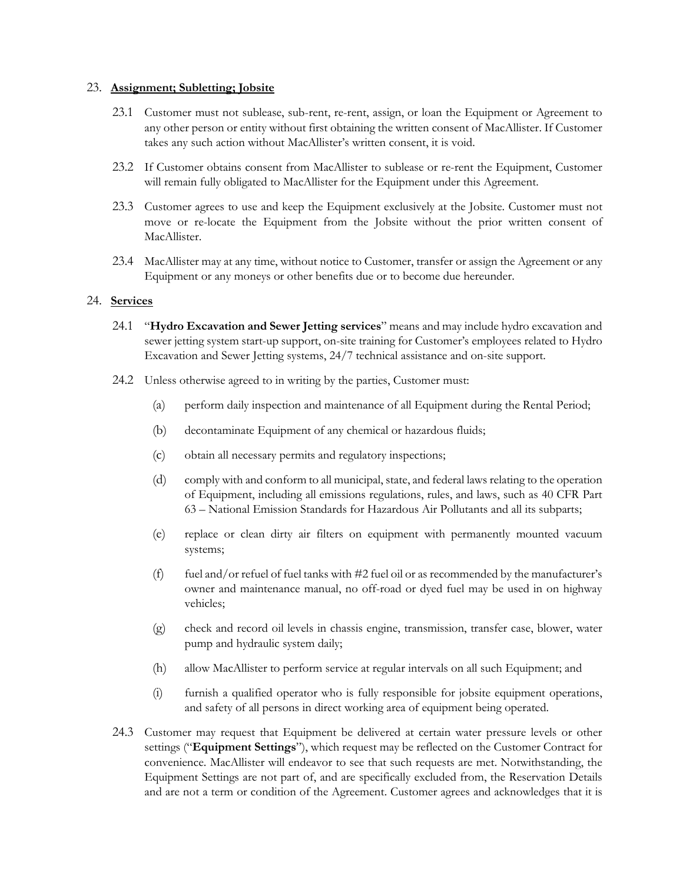#### 23. **Assignment; Subletting; Jobsite**

- 23.1 Customer must not sublease, sub-rent, re-rent, assign, or loan the Equipment or Agreement to any other person or entity without first obtaining the written consent of MacAllister. If Customer takes any such action without MacAllister's written consent, it is void.
- 23.2 If Customer obtains consent from MacAllister to sublease or re-rent the Equipment, Customer will remain fully obligated to MacAllister for the Equipment under this Agreement.
- 23.3 Customer agrees to use and keep the Equipment exclusively at the Jobsite. Customer must not move or re-locate the Equipment from the Jobsite without the prior written consent of MacAllister.
- 23.4 MacAllister may at any time, without notice to Customer, transfer or assign the Agreement or any Equipment or any moneys or other benefits due or to become due hereunder.

### <span id="page-13-0"></span>24. **Services**

- 24.1 "**Hydro Excavation and Sewer Jetting services**" means and may include hydro excavation and sewer jetting system start-up support, on-site training for Customer's employees related to Hydro Excavation and Sewer Jetting systems, 24/7 technical assistance and on-site support.
- 24.2 Unless otherwise agreed to in writing by the parties, Customer must:
	- (a) perform daily inspection and maintenance of all Equipment during the Rental Period;
	- (b) decontaminate Equipment of any chemical or hazardous fluids;
	- (c) obtain all necessary permits and regulatory inspections;
	- (d) comply with and conform to all municipal, state, and federal laws relating to the operation of Equipment, including all emissions regulations, rules, and laws, such as 40 CFR Part 63 – National Emission Standards for Hazardous Air Pollutants and all its subparts;
	- (e) replace or clean dirty air filters on equipment with permanently mounted vacuum systems;
	- (f) fuel and/or refuel of fuel tanks with  $#2$  fuel oil or as recommended by the manufacturer's owner and maintenance manual, no off-road or dyed fuel may be used in on highway vehicles;
	- (g) check and record oil levels in chassis engine, transmission, transfer case, blower, water pump and hydraulic system daily;
	- (h) allow MacAllister to perform service at regular intervals on all such Equipment; and
	- (i) furnish a qualified operator who is fully responsible for jobsite equipment operations, and safety of all persons in direct working area of equipment being operated.
- 24.3 Customer may request that Equipment be delivered at certain water pressure levels or other settings ("**Equipment Settings**"), which request may be reflected on the Customer Contract for convenience. MacAllister will endeavor to see that such requests are met. Notwithstanding, the Equipment Settings are not part of, and are specifically excluded from, the Reservation Details and are not a term or condition of the Agreement. Customer agrees and acknowledges that it is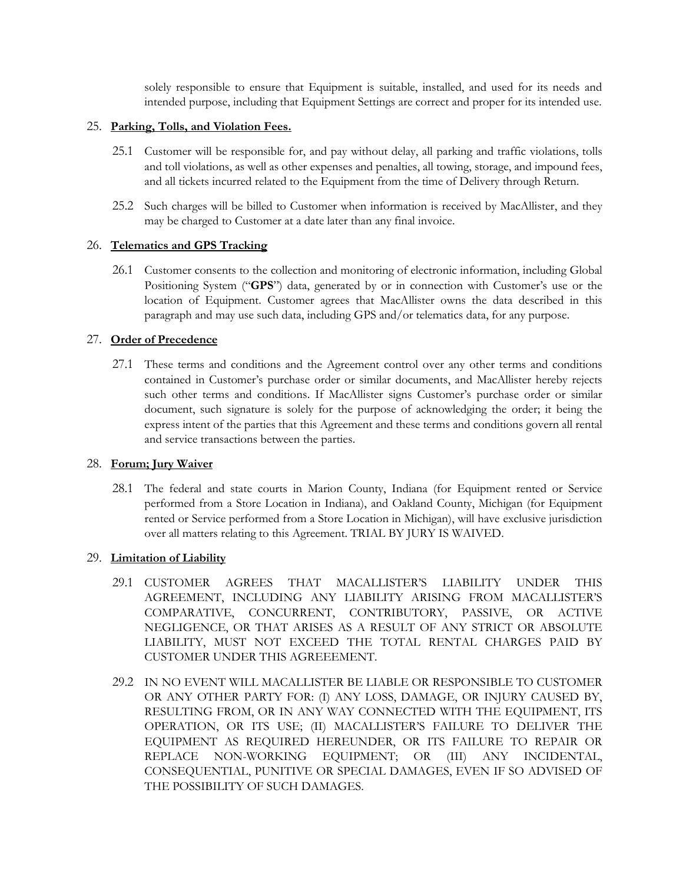solely responsible to ensure that Equipment is suitable, installed, and used for its needs and intended purpose, including that Equipment Settings are correct and proper for its intended use.

### 25. **Parking, Tolls, and Violation Fees.**

- 25.1 Customer will be responsible for, and pay without delay, all parking and traffic violations, tolls and toll violations, as well as other expenses and penalties, all towing, storage, and impound fees, and all tickets incurred related to the Equipment from the time of Delivery through Return.
- 25.2 Such charges will be billed to Customer when information is received by MacAllister, and they may be charged to Customer at a date later than any final invoice.

## 26. **Telematics and GPS Tracking**

26.1 Customer consents to the collection and monitoring of electronic information, including Global Positioning System ("**GPS**") data, generated by or in connection with Customer's use or the location of Equipment. Customer agrees that MacAllister owns the data described in this paragraph and may use such data, including GPS and/or telematics data, for any purpose.

## 27. **Order of Precedence**

27.1 These terms and conditions and the Agreement control over any other terms and conditions contained in Customer's purchase order or similar documents, and MacAllister hereby rejects such other terms and conditions. If MacAllister signs Customer's purchase order or similar document, such signature is solely for the purpose of acknowledging the order; it being the express intent of the parties that this Agreement and these terms and conditions govern all rental and service transactions between the parties.

### 28. **Forum; Jury Waiver**

28.1 The federal and state courts in Marion County, Indiana (for Equipment rented or Service performed from a Store Location in Indiana), and Oakland County, Michigan (for Equipment rented or Service performed from a Store Location in Michigan), will have exclusive jurisdiction over all matters relating to this Agreement. TRIAL BY JURY IS WAIVED.

# 29. **Limitation of Liability**

- 29.1 CUSTOMER AGREES THAT MACALLISTER'S LIABILITY UNDER THIS AGREEMENT, INCLUDING ANY LIABILITY ARISING FROM MACALLISTER'S COMPARATIVE, CONCURRENT, CONTRIBUTORY, PASSIVE, OR ACTIVE NEGLIGENCE, OR THAT ARISES AS A RESULT OF ANY STRICT OR ABSOLUTE LIABILITY, MUST NOT EXCEED THE TOTAL RENTAL CHARGES PAID BY CUSTOMER UNDER THIS AGREEEMENT.
- 29.2 IN NO EVENT WILL MACALLISTER BE LIABLE OR RESPONSIBLE TO CUSTOMER OR ANY OTHER PARTY FOR: (I) ANY LOSS, DAMAGE, OR INJURY CAUSED BY, RESULTING FROM, OR IN ANY WAY CONNECTED WITH THE EQUIPMENT, ITS OPERATION, OR ITS USE; (II) MACALLISTER'S FAILURE TO DELIVER THE EQUIPMENT AS REQUIRED HEREUNDER, OR ITS FAILURE TO REPAIR OR REPLACE NON-WORKING EQUIPMENT; OR (III) ANY INCIDENTAL, CONSEQUENTIAL, PUNITIVE OR SPECIAL DAMAGES, EVEN IF SO ADVISED OF THE POSSIBILITY OF SUCH DAMAGES.